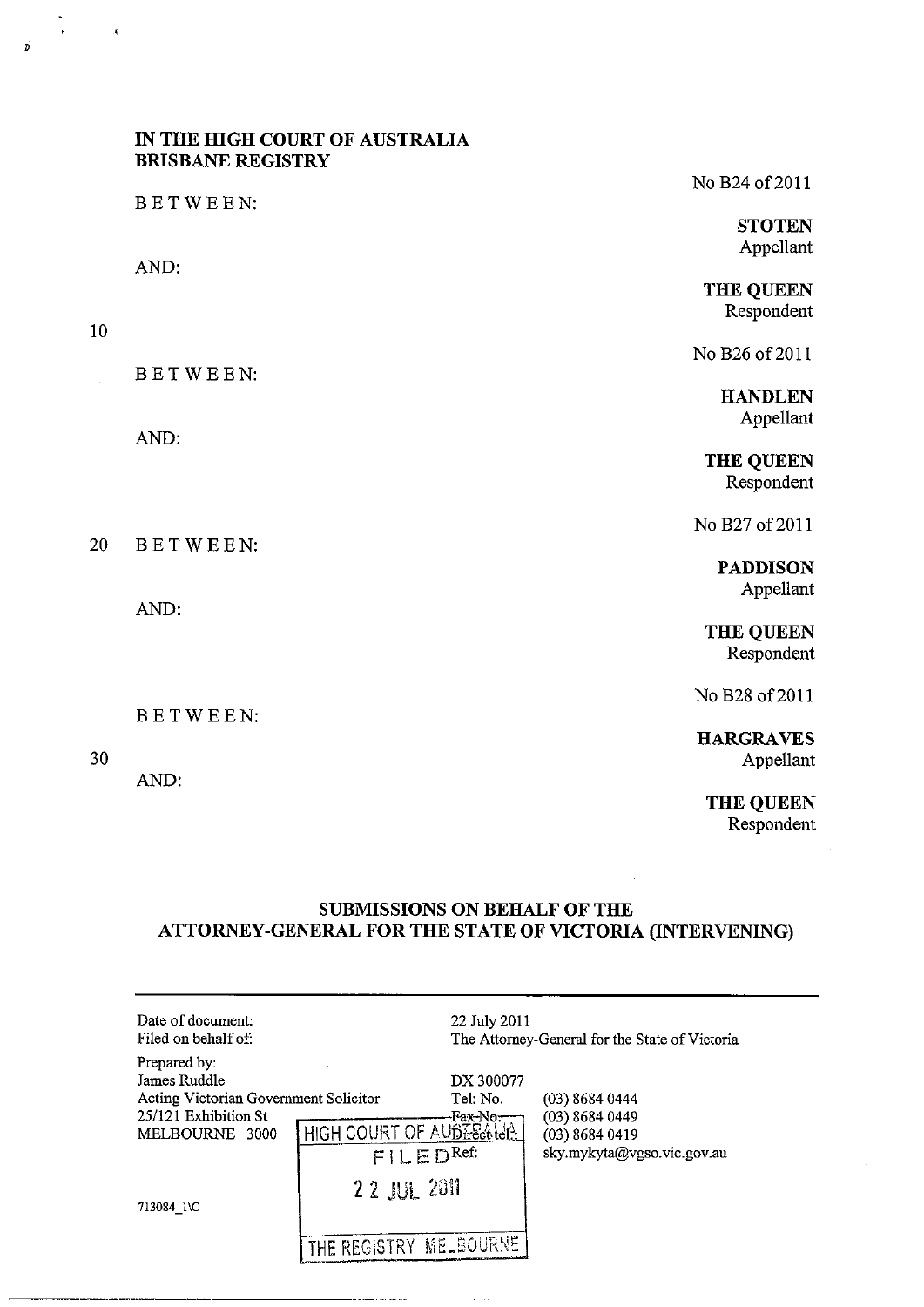## **IN THE HIGH COURT OF AUSTRALIA BRISBANE REGISTRY**

10

 $\frac{1}{2}$ 

 $\mathbf{x}$ 

 $\vec{p}$ 

20

30

AND:

No B24 of 2011 BETWEEN: **STOTEN**  Appellant AND: THE QUEEN Respondent No B<sub>26</sub> of 2011 BETWEEN: **HANDLEN**  Appellant AND: THE QUEEN Respondent No B27 of 2011 BETWEEN: **PADDISON**  Appellant AND: THE QUEEN Respondent No B28 of 2011 BETWEEN:

**HARGRAVES**  Appellant

THE QUEEN Respondent

# **SUBMISSIONS ON BEHALF OF THE ATTORNEY-GENERAL FOR THE STATE OF VICTORIA (INTERVENING)**

| Date of document:<br>Filed on behalf of:                                                                                      |                                                                   | 22 July 2011                       | The Attorney-General for the State of Victoria                                       |  |
|-------------------------------------------------------------------------------------------------------------------------------|-------------------------------------------------------------------|------------------------------------|--------------------------------------------------------------------------------------|--|
| Prepared by:<br>James Ruddle<br>Acting Victorian Government Solicitor<br>25/121 Exhibition St<br>MELBOURNE 3000<br>713084 1\C | HIGH COURT OF AUBIFECTED!<br>FILED <sup>Ref</sup><br>2 2 JUL 2011 | DX 300077<br>Tel: No.<br>-Fax-No:– | $(03)$ 8684 0444<br>(03) 8684 0449<br>$(03)$ 8684 0419<br>sky.mykyta@vgso.vic.gov.au |  |
|                                                                                                                               | THE REGISTRY MELBOURNE                                            |                                    |                                                                                      |  |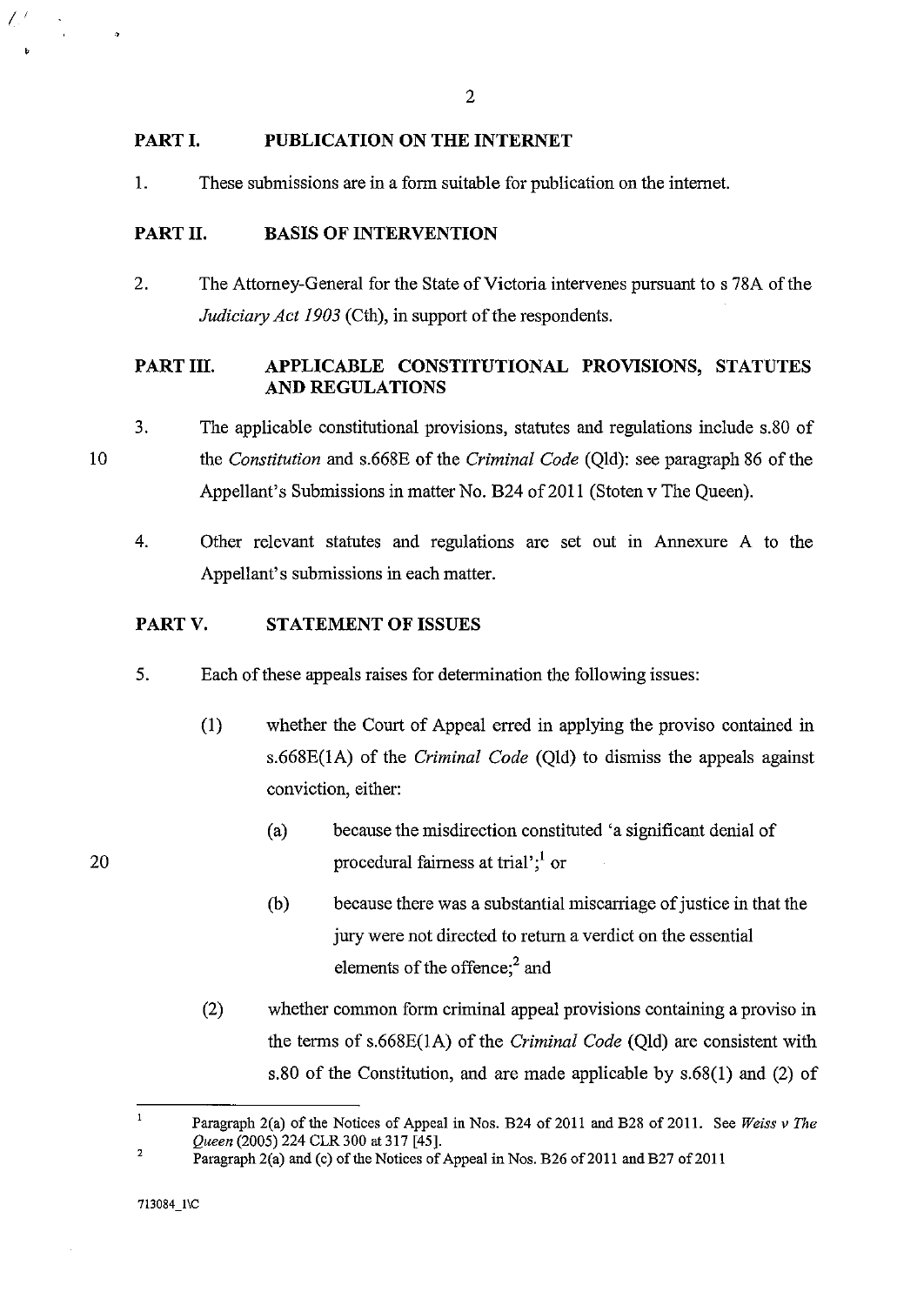## **PART I. PUBLICATION ON THE INTERNET**

1. These submissions are in a form suitable for publication on the internet.

### PART II. **BASIS OF INTERVENTION**

2. The Attorney-General for the State of Victoria intervenes pursuant to s 78A of the *Judiciary Act 1903* (Cth), in support of the respondents.

# PART III. **APPLICABLE CONSTITUTIONAL PROVISIONS, STATUTES AND REGULATIONS**

- 3. The applicable constitutional provisions, statutes and regulations include s.80 of the *Constitution* and s.668E of the *Criminal Code* (Qld): see paragraph 86 of the Appellant's Submissions in matter No. B24 of 2011 (Stoten v The Queen).
	- 4. Other relevant statutes and regulations are set out in Annexure A to the Appellant's submissions in each matter.

#### **PARTV. STATEMENT OF ISSUES**

- 5. Each of these appeals raises for determination the following issues:
	- (1) whether the Court of Appeal erred in applying the proviso contained in s.668E(IA) of the *Criminal Code* (Qld) to dismiss the appeals against conviction, either:
		- (a) because the misdirection constituted 'a significant denial of procedural fairness at trial';<sup>1</sup> or
		- (b) because there was a substantial miscarriage of justice in that the jury were not directed to return a verdict on the essential elements of the offence;<sup>2</sup> and
	- (2) whether common form criminal appeal provisions containing a proviso in the terms of s.668E(1A) of the *Criminal Code* (Qld) are consistent with s.80 of the Constitution, and are made applicable by s.68(1) and (2) of

10

 $\mathcal{L}^{\, \prime}$ 

 $\mathbf{1}$ Paragraph 2(a) of the Notices of Appeal in Nos. B24 of 2011 and B28 of 2011. See *Weiss v The Queen* (2005) 224 CLR 300 at 317 [45]. 2

Paragraph 2(a) and (c) of the Notices of Appeal in Nos. B26 of 2011 and B27 of 2011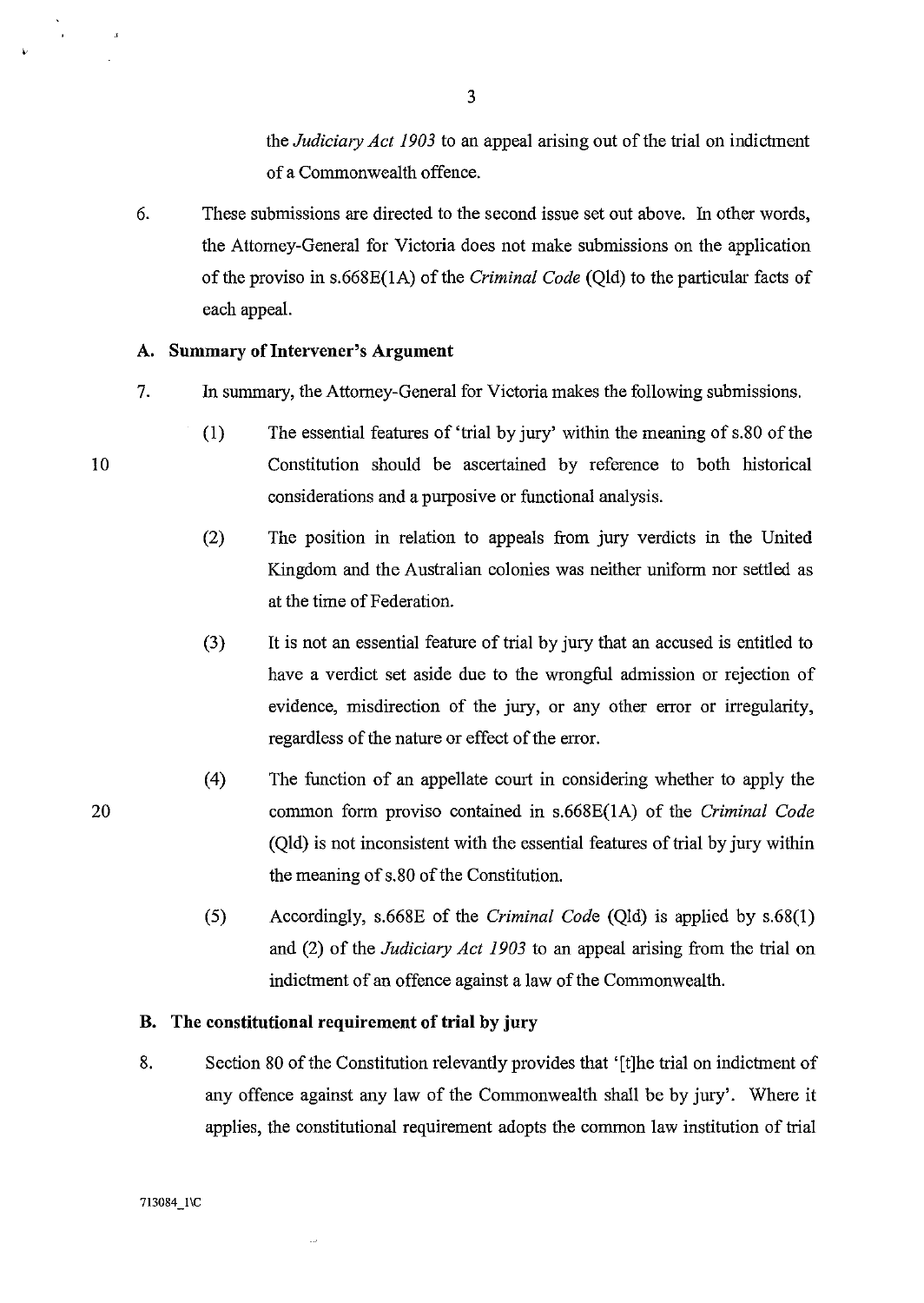the *Judiciary Act 1903* to an appeal arising out of the trial on indictment of a Commonwealth offence.

6. These submissions are directed to the second issue set out above. In other words, the Attorney-General for Victoria does not make submissions on the application of the proviso in s.66SE(1A) of the *Criminal Code* (Qld) to the particular facts of each appeal.

#### A. Summary of Intervener's Argument

- 7. In summary, the Attorney-General for Victoria makes the following submissions.
	- (1) The essential features of 'trial by jury' within the meaning of s.SO of the Constitution should be ascertained by reference to both historical considerations and a purposive or functional analysis.
	- (2) The position in relation to appeals from jury verdicts in the United Kingdom and the Australian colonies was neither uniform nor settled as at the time of Federation.
	- (3) It is not an essential feature of trial by jury that an accused is entitled to have a verdict set aside due to the wrongful admission or rejection of evidence, misdirection of the jury, or any other error or irregularity, regardless of the nature or effect of the error.
	- (4) The function of an appellate court in considering whether to apply the common form proviso contained in s.66SE(1A) of the *Criminal Code*  (Qld) is not inconsistent with the essential features of trial by jury within the meaning of s.SO of the Constitution.
	- (5) Accordingly, s.66SE of the *Criminal Code* (Qld) is applied by s.6S(I) and (2) of the *Judiciary Act 1903* to an appeal arising from the trial on indictment of an offence against a law of the Commonwealth.

## **B. The constitutional requirement of trial by jury**

S. Section SO of the Constitution relevantly provides that '[t]he trial on indictment of any offence against any law of the Commonwealth shall be by jury'. Where it applies, the constitutional requirement adopts the common law institution of trial

10

20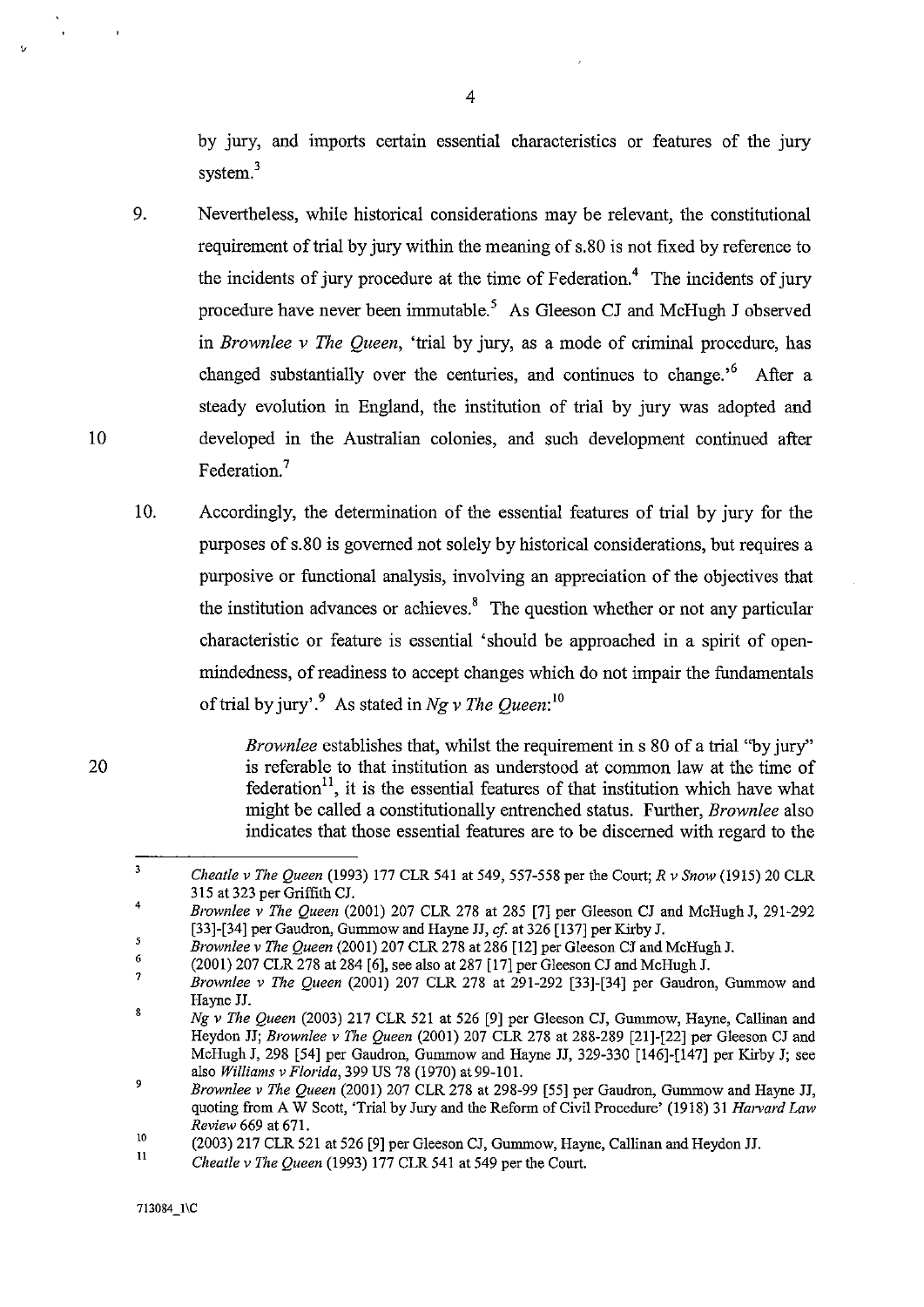by jury, and imports certain essential characteristics or features of the jury system.<sup>3</sup>

- 9. Nevertheless, while historical considerations may be relevant, the constitutional requirement of trial by jury within the meaning of s.80 is not fixed by reference to the incidents of jury procedure at the time of Federation.<sup>4</sup> The incidents of jury procedure have never been immutable.5 As Gleeson CJ and McHugh J observed in *Brownlee* v *The Queen,* 'trial by jury, as a mode of criminal procedure, has changed substantially over the centuries, and continues to change.<sup> $6$ </sup> After a steady evolution in England, the institution of trial by jury was adopted and developed in the Australian colonies, and such development continued after Federation.<sup>7</sup>
- 10. Accordingly, the determination of the essential features of trial by jury for the purposes of s.80 is governed not solely by historical considerations, but requires a purposive or functional analysis, involving an appreciation of the objectives that the institution advances or achieves. $8\text{ }$  The question whether or not any particular characteristic or feature is essential 'should be approached in a spirit of openmindedness, of readiness to accept changes which do not impair the fundamentals of trial by jury,.9 As stated in *Ng* v *The Queen:*lO

*Brownlee* establishes that, whilst the requirement in s 80 of a trial "by jury" is referable to that institution as understood at common law at the time of federation<sup>11</sup>, it is the essential features of that institution which have what might be called a constitutionally entrenched status. Further, *Brownlee* also indicates that those essential features are to be discerned with regard to the

20

<sup>3</sup>  *Cheatle* v *The Queen* (1993) 177 CLR 541 at 549,557-558 per the Court; *R* v *Snow* (1915) 20 CLR 315 at 323 per Griffith CJ.

<sup>4</sup>  *Brownlee* v *The Queen* (2001) 207 CLR 278 at 285 [7] per Gleeson CJ and McHugh J, 291-292 [33]-[34] per Gaudron, Gummow and Hayne JJ, *cf* at 326 [137] per Kirby J.

 $\overline{\mathbf{5}}$ *Brownlee* v *The Queen* (2001) 207 CLR278 at 286 [12] per Gleeson CJ and McHugh J.

<sup>6</sup>  (2001) 207 CLR 278 at 284 [6], see also at 287 [17] per Gleeson CJ and McHugh J.

<sup>7</sup>  8 *Brownlee* v *The Queen* (2001) 207 CLR 278 at 291-292 [33]-[34] per Gaudron, Gummow and Hayne JJ.

*Ng* v *The Queen* (2003) 217 CLR 521 at 526 [9] per Gleeson CJ, Gummow, Hayne, Callinan and Heydon JJ; *Brownlee v The Queen* (2001) 207 CLR 278 at 288-289 [21]-[22] per Gleeson CJ and McHugh J, 298 [54] per Gaudron, Gummow and Hayne JJ, 329-330 [146]-[147] per Kirby J; see also *Williams* v *Florida,* 399 US 78 (1970) at99-101.

<sup>9</sup>  *Brownlee* v *The Queen* (2001) 207 CLR 278 at 298-99 [55] per Gaudron, Gummow and Hayne JJ, quoting from A W Scott, 'Trial by Jury and the Reform of Civil Procedure' (1918) 31 *Harvard Law Review* 669 at 671.

<sup>10</sup>  (2003) 217 CLR 521 at 526 [9] per Gleeson CJ, Gummow, Hayne, Callinan and Heydon JJ.

<sup>11</sup>  *Cheatle* v *The Queen* (1993) 177 CLR 541 at 549 per the Court.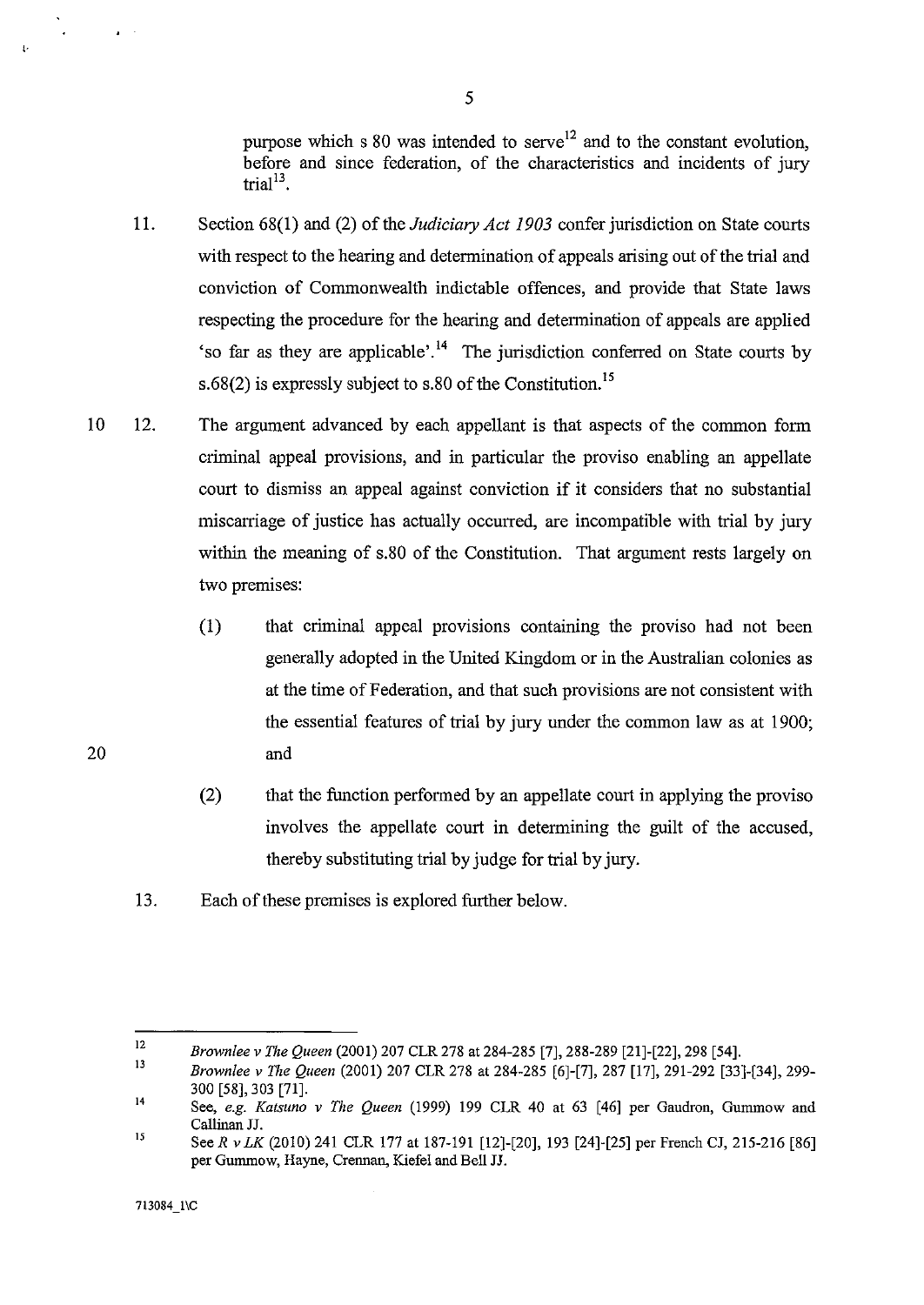purpose which s 80 was intended to serve<sup>12</sup> and to the constant evolution, before and since federation, of the characteristics and incidents of jury trial $13$ .

- 11. Section 6S(I) and (2) of the *Judiciary Act 1903* confer jurisdiction on State courts with respect to the hearing and determination of appeals arising out of the trial and conviction of Commonwealth indictable offences, and provide that State laws respecting the procedure for the hearing and determination of appeals are applied 'so far as they are applicable'.<sup>14</sup> The jurisdiction conferred on State courts by s.68(2) is expressly subject to s.80 of the Constitution.<sup>15</sup>
- 10 12. The argument advanced by each appellant is that aspects of the common form criminal appeal provisions, and in particular the proviso enabling an appellate court to dismiss an appeal against conviction if it considers that no substantial miscarriage of justice has actually occurred, are incompatible with trial by jury within the meaning of s.80 of the Constitution. That argument rests largely on two premises:
	- (1) that criminal appeal provisions containing the proviso had not been generally adopted in the United Kingdom or in the Australian colonies as at the time of Federation, and that such provisions are not consistent with the essential features of trial by jury under the common law as at 1900; and
	- (2) that the function performed by an appellate court in applying the proviso involves the appellate court in determining the guilt of the accused, thereby substituting trial by judge for trial by jury.
	- 13. Each of these premises is explored further below.

 $\mathbf{r} = \mathbf{r} \times \mathbf{r}$  . The set of  $\mathbf{r}$ 

<sup>12</sup>  *Brownlee v The Queen* (2001) 207 CLR 278 at 284-285 [7],288-289 [21]-[22], 298 [54].

<sup>13</sup>  14 *Brownlee v The Queen* (2001) 207 CLR 278 at 284-285 [6]-[7],287 [17], 291-292 [33]-[34], 299- 300 [58],303 [71].

<sup>15</sup>  See, *e.g. Katsuno v The Queen* (1999) 199 CLR 40 at 63 [46] per Gaudron, Gummow and Callinan JJ.

See *R v LK* (2010) 241 CLR 177 at 187-191 [12]-[20], 193 [24]-[25] per French CJ, 215-216 [86] per Gummow, Hayne, Crennan, Kiefel and Bell JJ.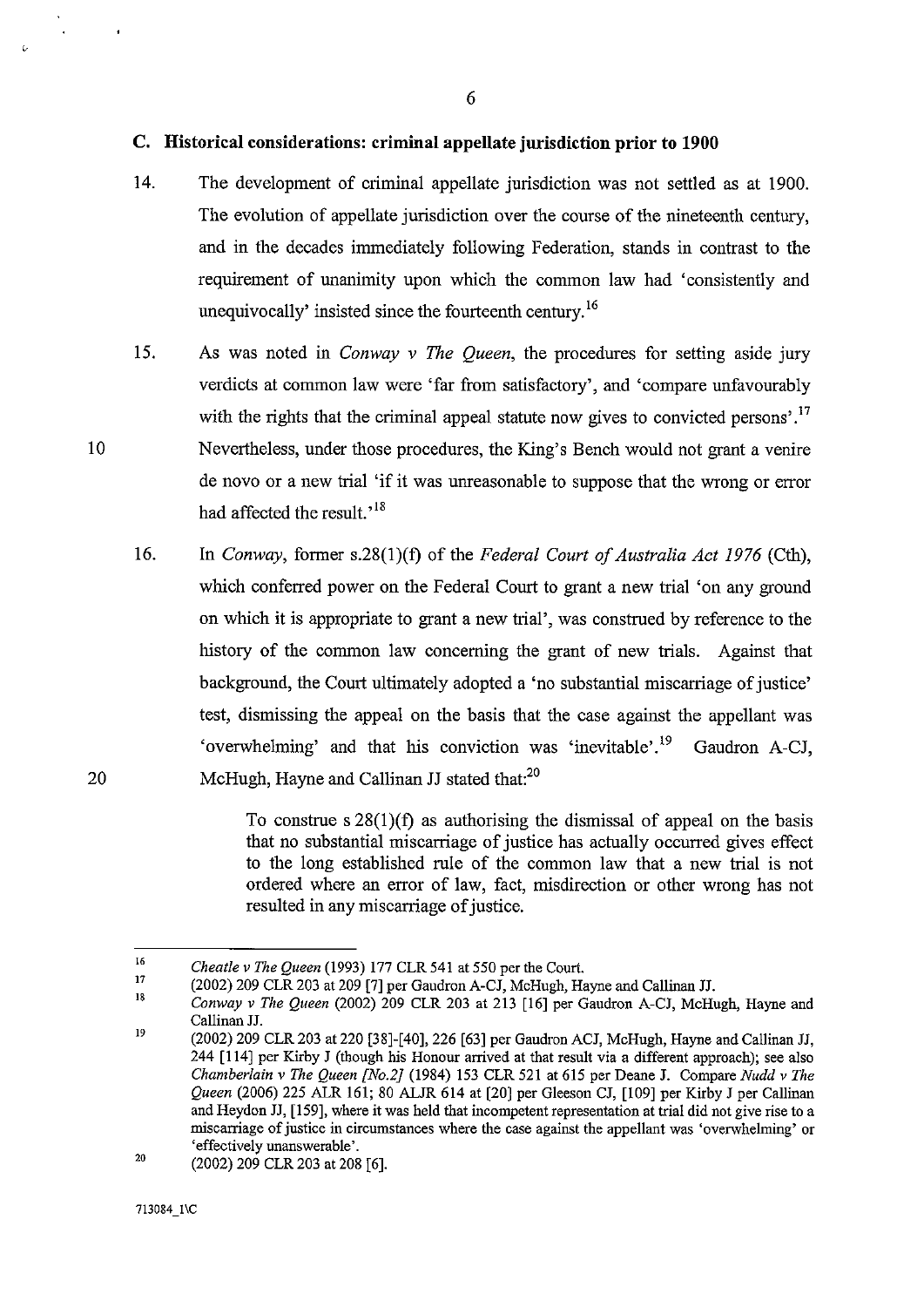## **C. Historical considerations: criminal appellate jurisdiction prior to 1900**

- 14. The development of criminal appellate jurisdiction was not settled as at 1900. The evolution of appellate jurisdiction over the course of the nineteenth century, and in the decades immediately following Federation, stands in contrast to the requirement of unanimity upon which the common law had 'consistently and unequivocally' insisted since the fourteenth century. 16
- 15. As was noted in *Conway* v *The Queen,* the procedures for setting aside jury verdicts at common law were 'far from satisfactory', and 'compare unfavourably with the rights that the criminal appeal statute now gives to convicted persons'.<sup>17</sup> Nevertheless, under those procedures, the King's Bench would not grant a venire de novo or a new trial 'if it was unreasonable to suppose that the wrong or error had affected the result.<sup>18</sup>
- 16. In *Conway,* former s.28(1 )(f) of the *Federal Court of Australia Act* 1976 (Cth), which conferred power on the Federal Court to grant a new trial 'on any ground on which it is appropriate to grant a new trial', was construed by reference to the history of the common law concerning the grant of new trials. Against that background, the Court ultimately adopted a 'no substantial miscarriage of justice' test, dismissing the appeal on the basis that the case against the appellant was 'overwhelming' and that his conviction was 'inevitable'.<sup>19</sup> Gaudron A-CJ, McHugh, Hayne and Callinan JJ stated that:<sup>20</sup>

To construe s 28(1)(f) as authorising the dismissal of appeal on the basis that no substantial miscarriage of justice has actually occurred gives effect to the long established rule of the common law that a new trial is not ordered where an error of law, fact, misdirection or other wrong has not resulted in any miscarriage of justice.

10

<sup>16</sup>  17 *Cheatle* v *The Queen* (1993) 177 CLR 541 at 550 per the Court.

<sup>(2002) 209</sup> CLR 203 at 209 [7] per Gaudron A-CJ, McHugh, Hayne and Callinan JJ.

<sup>18</sup>  19 *Conway* v *The Queen* (2002) 209 CLR 203 at 213 [16] per Gaudron A-CJ, McHugh, Hayne and Callinan JJ.

<sup>(2002) 209</sup> CLR 203 at 220 [38]-[40],226 [63] per Gaudron ACJ, McHugh, Hayne and Callinan JJ, 244 [114] per Kirby J (though his Honour arrived at that result via a different approach); see also *Chamberlain* v *The Queen [No.2]* (1984) 153 CLR 521 at 615 per Deane J. Compare *Nudd* v *The Queen* (2006) 225 ALR 161; 80 ALJR 614 at [20] per Gleeson CJ, [109] per Kirby J per Callinan and Heydon JJ, [159], where it was held that incompetent representation at trial did not give rise to a miscarriage of justice in circumstances where the case against the appellant was 'overwhehning' or 'effectively unanswerable'.

<sup>20</sup>  (2002) 209 CLR 203 at 208 [6].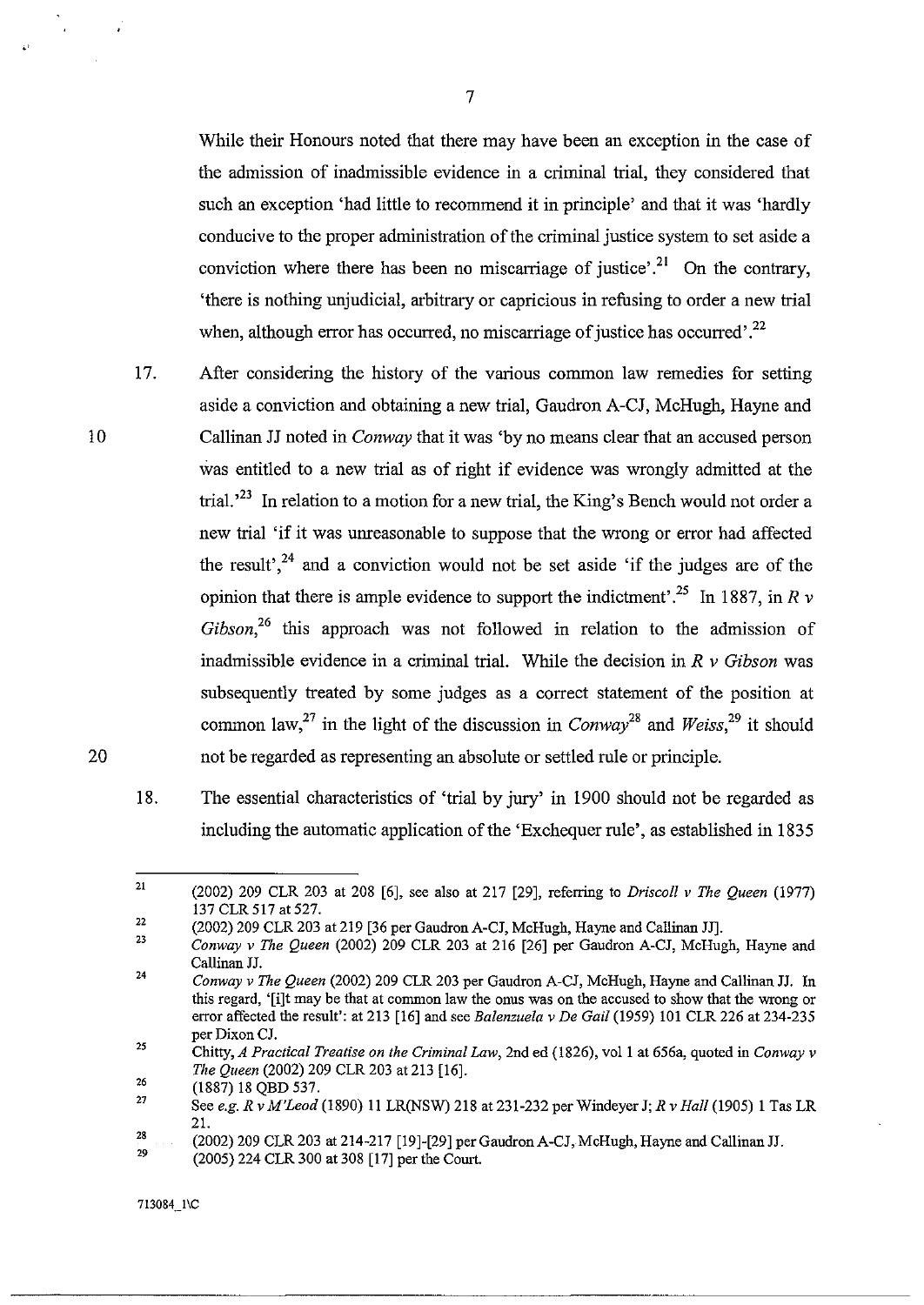While their Honours noted that there may have been an exception in the case of the admission of inadmissible evidence in a criminal trial, they considered that such an exception 'had little to recommend it in principle' and that it was 'hardly conducive to the proper administration of the criminal justice system to set aside a conviction where there has been no miscarriage of justice'.<sup>21</sup> On the contrary, 'there is nothing unjudicial, arbitrary or capricious in refusing to order a new trial when, although error has occurred, no miscarriage of justice has occurred'.<sup>22</sup>

10

20

.'

17. After considering the history of the various common law remedies for setting aside a conviction and obtaining a new trial, Gaudron A-CJ, McHugh, Hayne and Callinan JJ noted in *Conway* that it was 'by no means clear that an accused person was entitled to a new trial as of right if evidence was wrongly admitted at the trial.<sup> $23$ </sup> In relation to a motion for a new trial, the King's Bench would not order a new trial 'if it was unreasonable to suppose that the wrong or error had affected the result', $24$  and a conviction would not be set aside 'if the judges are of the opinion that there is ample evidence to support the indictment<sup>'25</sup>. In 1887, in R  $\nu$ *Gibson,26* this approach was not followed in relation to the admission of inadmissible evidence in a criminal trial. While the decision in *R* v *Gibson* was subsequently treated by some judges as a correct statement of the position at common law,<sup>27</sup> in the light of the discussion in *Conway*<sup>28</sup> and *Weiss*,<sup>29</sup> it should not be regarded as representing an absolute or settled rule or principle.

18. The essential characteristics of 'trial by jury' in 1900 should not be regarded as including the automatic application of the 'Exchequer rule', as established in 1835

<sup>21</sup>  (2002) 209 CLR 203 at 208 [6], see also at 217 [29], referring to *Driscoll v The Queen (1977)*  137 CLR 517 at 527.

<sup>22</sup>  (2002) 209 CLR 203 at 219 [36 per Gaudron A-CJ, McHugh, Hayne and Callinan JJ].

<sup>23</sup>  24 *Conway* v *The Queen* (2002) 209 CLR 203 at 216 [26] per Gaudron A-CJ, McHugh, Hayne and Callinan JJ.

*Conway* v *The Queen* (2002) 209 CLR 203 per Gaudron A-CJ, McHugh, Hayne and Callinan JJ. In this regard, '[i]t may be that at common law the onus was on the accused to show that the wrong or error affected the result': at 213 [16] and see *Balenzuela* v *De Gail* (1959) 101 CLR 226 at 234-235 per Dixon CJ.

<sup>25</sup>  Chitty, *A Practical Treatise on the Criminal Law,* 2nd ed (1826), vall at 656a, quoted in *Conway* v *The Queen* (2002) 209 CLR 203 at 213 [16].

<sup>26</sup>  (1887) 18 QBD 537.

<sup>27</sup>  See *e.g. R* v *M'Leod* (1890) 11 LR(NSW) 218 at 231-232 per Windeyer J; *R* v *Hall* (1905) 1 Tas LR 21.

<sup>28</sup>  29 (2002) 209 CLR 203 at 214-217 [19]-[29] per GaudronA-CJ,McHugh, Hayne and Callinan JJ. (2005) 224 CLR 300 at 308 [17] per the Court.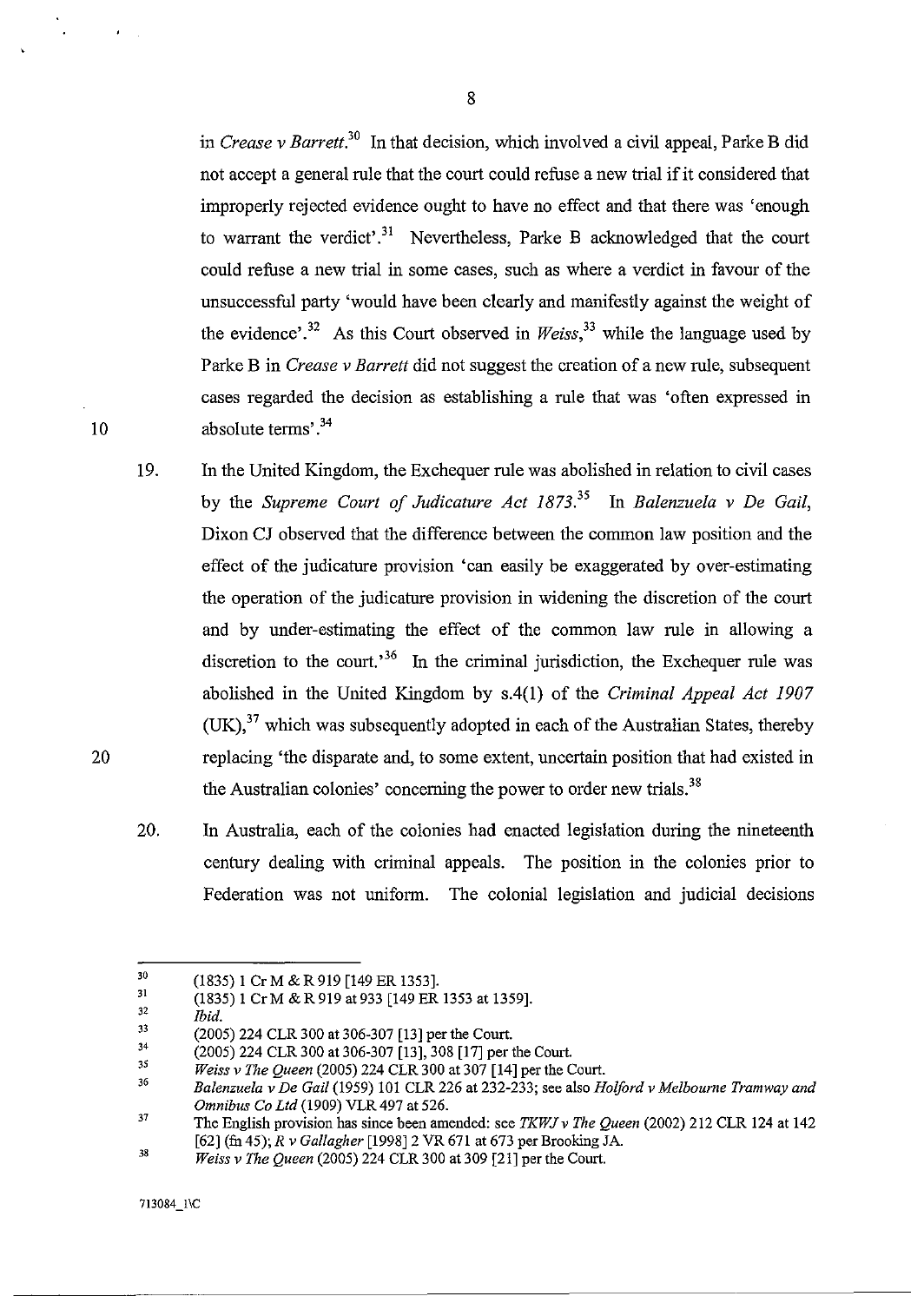in *Crease* v *Barrett.3o* In that decision, which involved a civil appeal, Parke B did not accept a general rule that the court could refuse a new trial if it considered that improperly rejected evidence ought to have no effect and that there was 'enough to warrant the verdict'.<sup>31</sup> Nevertheless, Parke B acknowledged that the court could refuse a new trial in some cases, such as where a verdict in favour of the unsuccessful party 'would have been clearly and manifestly against the weight of the evidence'.<sup>32</sup> As this Court observed in *Weiss*<sup>33</sup> while the language used by Parke B in *Crease* v *Barrett* did not suggest the creation of a new rule, subsequent cases regarded the decision as establishing a rule that was 'often expressed in absolute terms' .34

- 19. In the United Kingdom, the Exchequer rule was abolished in relation to civil cases by the *Supreme Court of Judicature Act 1873.*<sup>35</sup> In *Balenzuela v De Gail,* Dixon CJ observed that the difference between the common law position and the effect of the judicature provision 'can easily be exaggerated by over-estimating the operation of the judicature provision in widening the discretion of the court and by under-estimating the effect of the common law rule in allowing a discretion to the court.<sup>36</sup> In the criminal jurisdiction, the Exchequer rule was abolished in the United Kingdom by s.4(1) of the *Criminal Appeal Act 1907*   $(UK)$ ,<sup>37</sup> which was subsequently adopted in each of the Australian States, thereby replacing 'the disparate and, to some extent, uncertain position that had existed in the Australian colonies' concerning the power to order new trials.<sup>38</sup>
- 20. In Australia, each of the colonies had enacted legislation during the nineteenth century dealing with criminal appeals. The position in the colonies prior to Federation was not uniform. The colonial legislation and judicial decisions

713084\_1\C

20

<sup>30</sup>  (1835) 1 Cr M & R 919 [149 ER 1353].

<sup>31</sup>  (1835) 1 Cr M & R 919 at 933 [149 ER l353 at 1359].

<sup>32</sup>  *Ibid.* 

<sup>33</sup>  (2005) 224 CLR 300 at 306-307 [l3] per the Court.

<sup>34</sup>  (2005) 224 CLR 300 at 306-307 [13], 308 [17] per the Court.

<sup>3</sup>S *Weiss* v *The Queen* (2005) 224 CLR 300 at 307 [14] per the Court.

<sup>36</sup>  *Balenzuela* v *De Gail* (1959) 101 CLR 226 at 232-233; see also *Holford* v *Melbourne Tramway and Omnibus Co Ltd* (1909) VLR 497 at 526.

<sup>37</sup>  The English provision has since been amended: see *TKWJv The Queen* (2002) 212 CLR 124 at 142 [62] (fu 45); *R* v *Gallagher* [1998]2 VR 671 at 673 per Brooking JA.

<sup>38</sup>  *Weiss* v *The Queen* (2005) 224 CLR 300 at 309 [21] per the Court.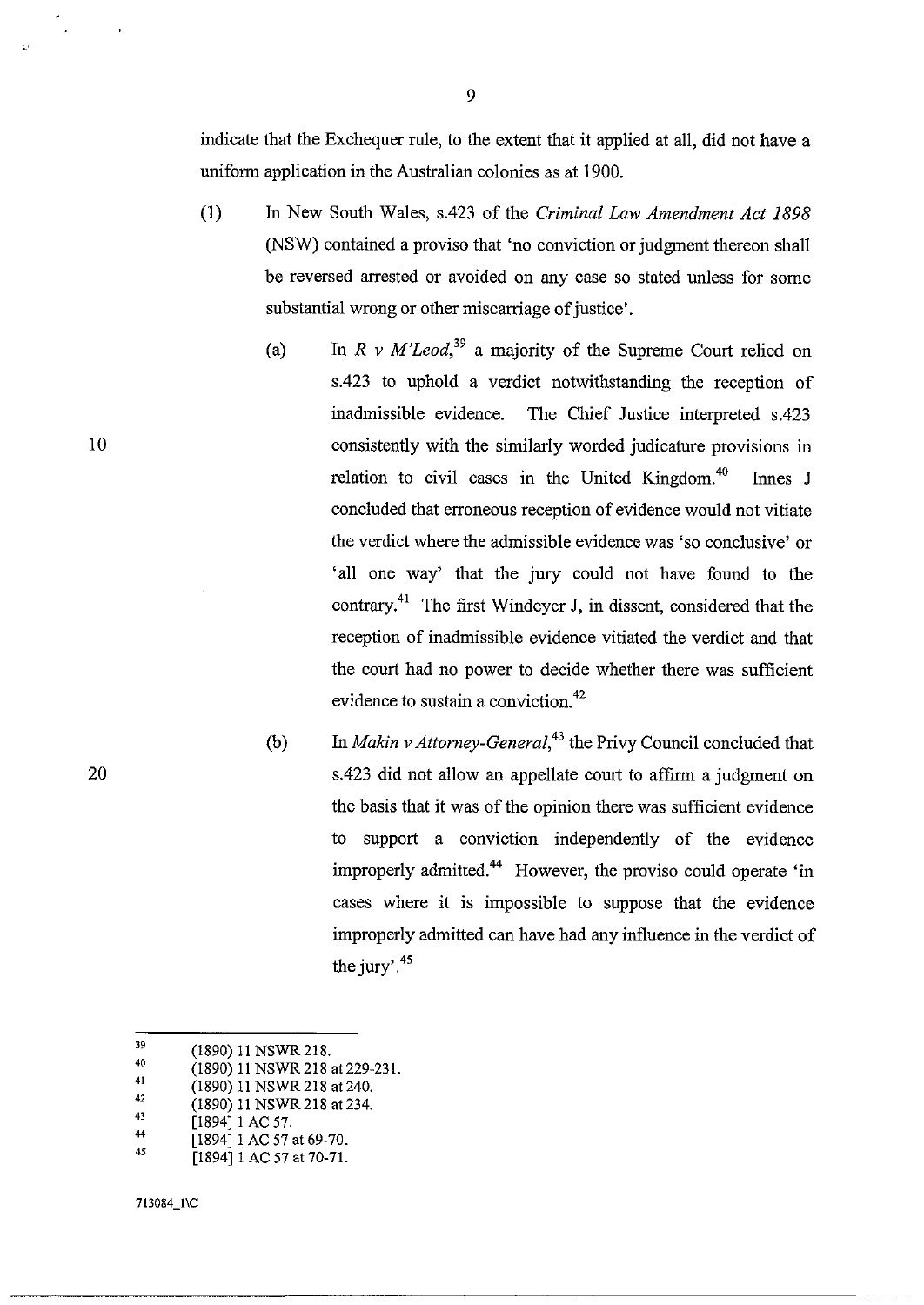indicate that the Exchequer rule, to the extent that it applied at all, did not have a uniform application in the Australian colonies as at 1900.

- (I) In New South Wales, s.423 of the *Criminal Law Amendment Act 1898*  (NSW) contained a proviso that 'no conviction or judgment thereon shall be reversed arrested or avoided on any case so stated unless for some substantial wrong or other miscarriage of justice'.
	- (a) In  $R \vee M'Leod$ <sup>39</sup> a majority of the Supreme Court relied on s.423 to uphold a verdict notwithstanding the reception of inadmissible evidence. The Chief Justice interpreted s.423 consistently with the similarly worded judicature provisions in relation to civil cases in the United Kingdom. $40$  Innes J concluded that erroneous reception of evidence would not vitiate the verdict where the admissible evidence was 'so conclusive' or 'all one way' that the jury could not have found to the contrary.41 The first Windeyer **J,** in dissent, considered that the reception of inadmissible evidence vitiated the verdict and that the court had no power to decide whether there was sufficient evidence to sustain a conviction.<sup>42</sup>
	- (b) In *Makin v Attorney-General*,<sup>43</sup> the Privy Council concluded that s.423 did not allow an appellate court to affirm a judgment on the basis that it was of the opinion there was sufficient evidence to support a conviction independently of the evidence improperly admitted.<sup>44</sup> However, the proviso could operate 'in cases where it is impossible to suppose that the evidence improperly admitted can have had any influence in the verdict of the jury'. $45$

- 40 41 (1890) 11 NSWR218 at 229-231.
- (1890) 11 NSWR218 at 240.
- 42 (1890) 11 NSWR218 at 234.
- 43 [1894] 1 AC 57.
- 44 [1894] 1 AC 57 at 69-70.
- 45 [1894] 1 AC 57 at 70-71.

713084\_1\C

10

J9 (1890) 11 NSWR218.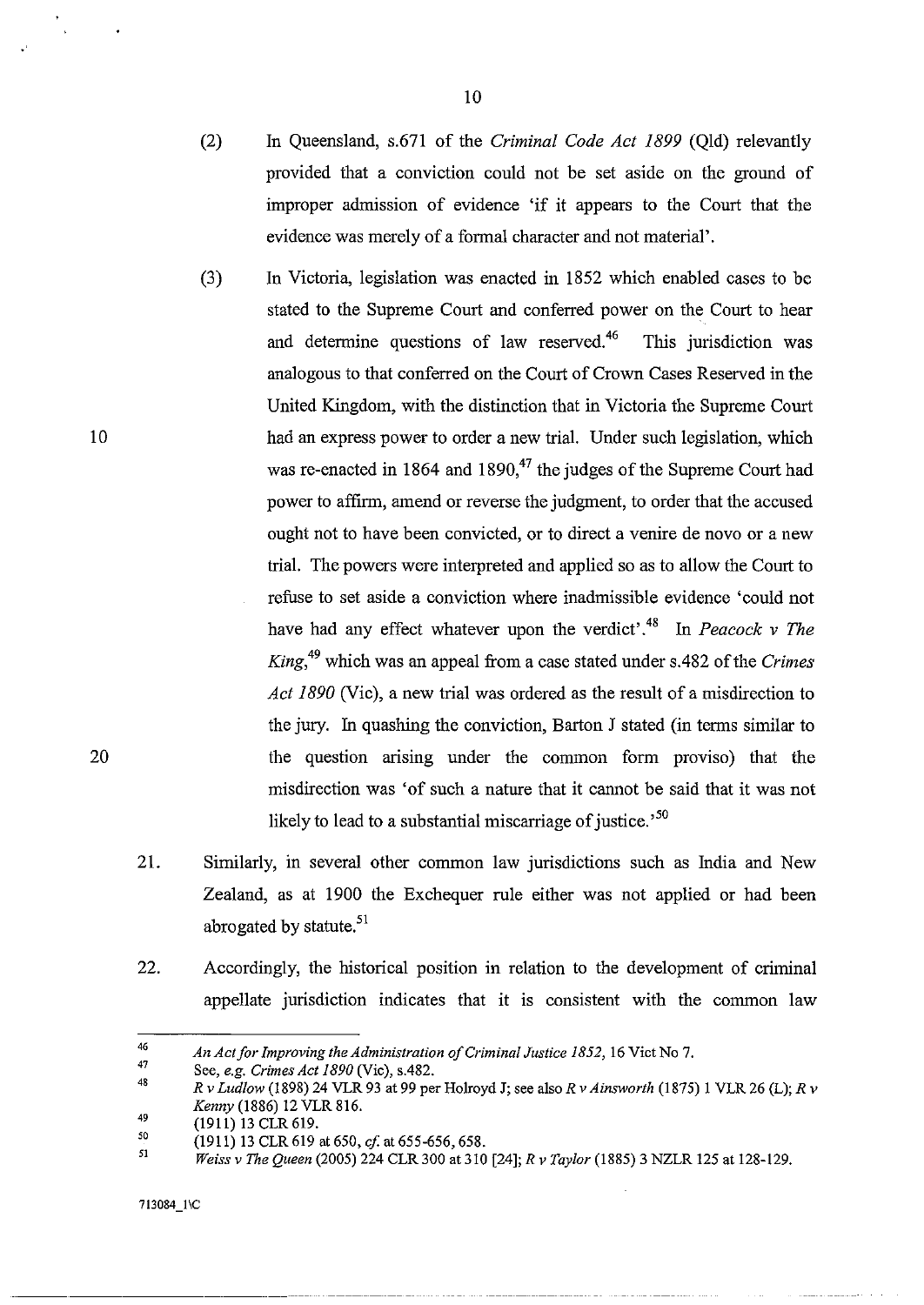- (2) In Queensland, s.671 of the *Criminal Code Act* 1899 (Qld) relevantly provided that a conviction could not be set aside on the ground of improper admission of evidence 'if it appears to the Court that the evidence was merely of a formal character and not material'.
- (3) In Victoria, legislation was enacted in 1852 which enabled cases to be stated to the Supreme Court and conferred power on the Court to hear and determine questions of law reserved.<sup>46</sup> This jurisdiction was analogous to that conferred on the Court of Crown Cases Reserved in the United Kingdom, with the distinction that in Victoria the Supreme Court had an express power to order a new trial. Under such legislation, which was re-enacted in 1864 and 1890, $47$  the judges of the Supreme Court had power to affirm, amend or reverse the judgment, to order that the accused ought not to have been convicted, or to direct a venire de novo or a new trial. The powers were interpreted and applied so as to allow the Court to refuse to set aside a conviction where inadmissible evidence 'could not have had any effect whatever upon the verdict<sup>',48</sup> In *Peacock v The King*,<sup>49</sup> which was an appeal from a case stated under s.482 of the *Crimes Act 1890* (Vic), a new trial was ordered as the result of a misdirection to the jury. In quashing the conviction, Barton J stated (in terms similar to the question arising under the common form proviso) that the misdirection was 'of such a nature that it cannot be said that it was not likely to lead to a substantial miscarriage of justice.<sup>50</sup>
- 21. Similarly, in several other common law jurisdictions such as India and New Zealand, as at 1900 the Exchequer rule either was not applied or had been abrogated by statute. $51$
- 22. Accordingly, the historical position in relation to the development of criminal appellate jurisdiction indicates that it is consistent with the common law

10

<sup>46</sup>  *An Act for Improving the Administration of Criminal Justice* 1852, 16 Viet No 7.

<sup>47</sup>  See, *e.g. Crimes Act 1890* (Vic), s.482.

<sup>48</sup>  *R v Ludlow* (1898) 24 VLR 93 at 99 per Holroyd J; see also *R v Ainsworth* (1875) 1 VLR 26 (L); *R v Kenny* (1886) 12 VLR 816.

<sup>49</sup>  (1911) 13 CLR 619.

<sup>50</sup>  (1911) 13 CLR 619 at 650, *cf.* at 655-656, 658.

<sup>51</sup>  *Weiss v The Queen* (2005) 224 CLR 300 at 310 [24]; *R v Taylor* (1885) 3 NZLR 125 at 128-129.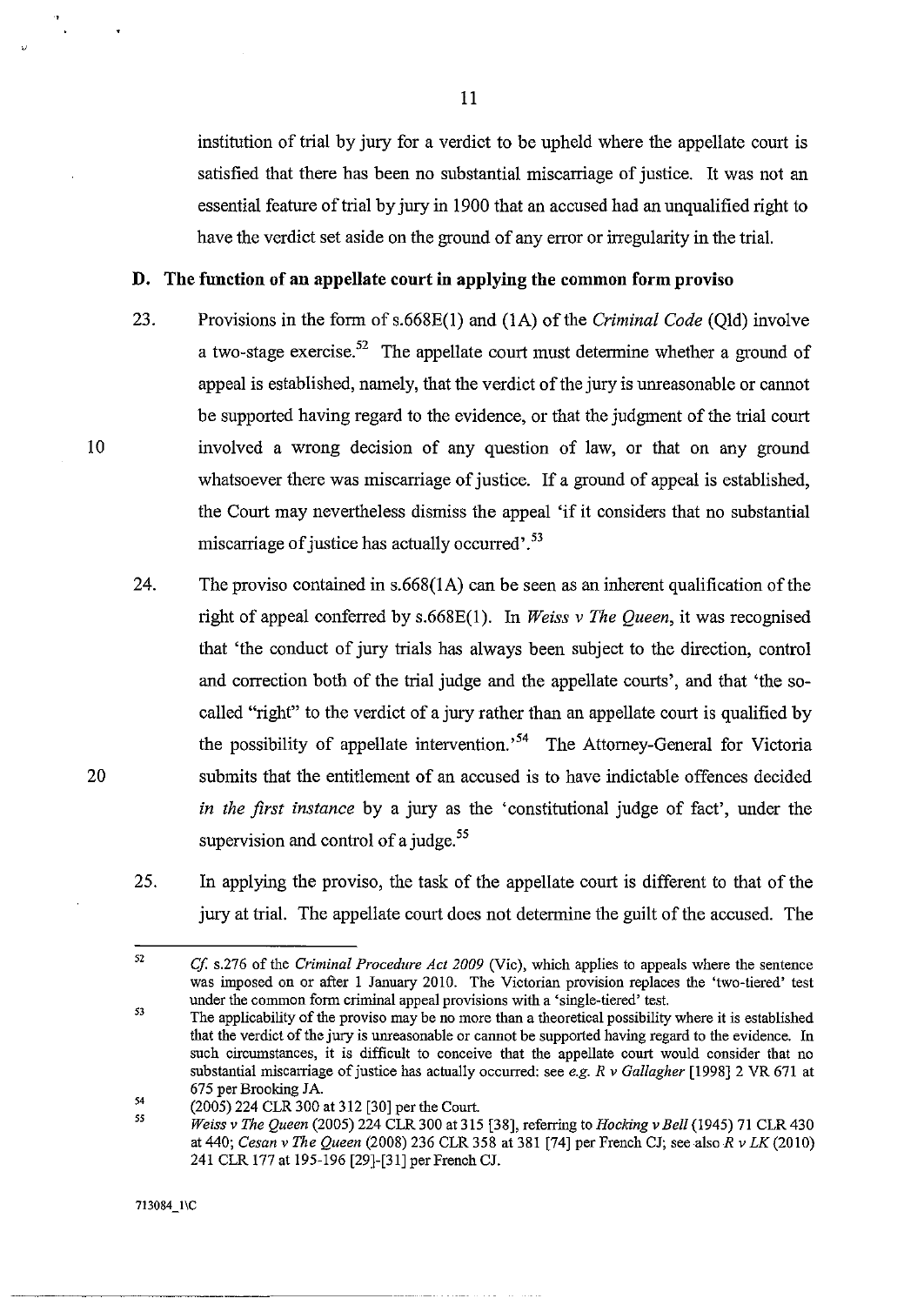institution of trial by jury for a verdict to be upheld where the appellate court is satisfied that there has been no substantial miscarriage of justice. It was not an essential feature of trial by jury in 1900 that an accused had an unqualified right to have the verdict set aside on the ground of any error or irregularity in the trial.

## **D. The function of an appellate court in applying the common form proviso**

- 23. Provisions in the form ofs.668E(I) and (IA) of the *Criminal Code* (Qld) involve a two-stage exercise.<sup>52</sup> The appellate court must determine whether a ground of appeal is established, namely, that the verdict of the jury is unreasonable or cannot be supported having regard to the evidence, or that the judgment of the trial court involved a wrong decision of any question of law, or that on any ground whatsoever there was miscarriage of justice. If a ground of appeal is established, the Court may nevertheless dismiss the appeal 'if it considers that no substantial miscarriage of justice has actually occurred'.<sup>53</sup>
- 24. The proviso contained in s.668(IA) can be seen as an inherent qualification of the right of appeal conferred by s.668E(I). In *Weiss* v *The Queen,* it was recognised that 'the conduct of jury trials has always been subject to the direction, control and correction both of the trial judge and the appellate courts', and that 'the socalled "right" to the verdict of a jury rather than an appellate court is qualified by the possibility of appellate intervention.<sup>54</sup> The Attorney-General for Victoria submits that the entitlement of an accused is to have indictable offences decided *in the first instance* by a jury as the 'constitutional judge of fact', under the supervision and control of a judge.<sup>55</sup>
- 25. In applying the proviso, the task of the appellate court is different to that of the jury at trial. The appellate court does not determine the guilt of the accused. The

713084\_1\C

10

20

<sup>52</sup>  *Cf* s.276 of the *Criminal Procedure Act 2009* (Vic), which applies to appeals where the sentence was imposed on or after I January 2010. The Victorian provision replaces the 'two-tiered' test under the common form criminal appeal provisions with a 'single-tiered' test.

<sup>53</sup>  The applicability of the proviso may be no more than a theoretical possibility where it is established that the verdict of the jury is unreasonable or cannot be supported having regard to the evidence. In such circumstances, it is difficult to conceive that the appellate court would consider that no substantial miscarriage of justice has actually occurred: see *e.g. R* v *Gallagher* [1998] 2 VR 671 at 675 per Brooking JA.

<sup>54</sup>  (2005) 224 CLR 300 at 312 [30] per the Court.

<sup>55</sup>  *Weiss* v *The Queen* (2005) 224 CLR 300 at 315 [38], referring to *Hocking* v *Bell* (1945) 71 CLR 430 at 440; *Cesan* v *The Queen* (2008) 236 CLR 358 at 381 [74] per French CJ; see also *R* v *LK (2010)*  241 CLR 177 at 195-196 [29]-[31] per French CJ.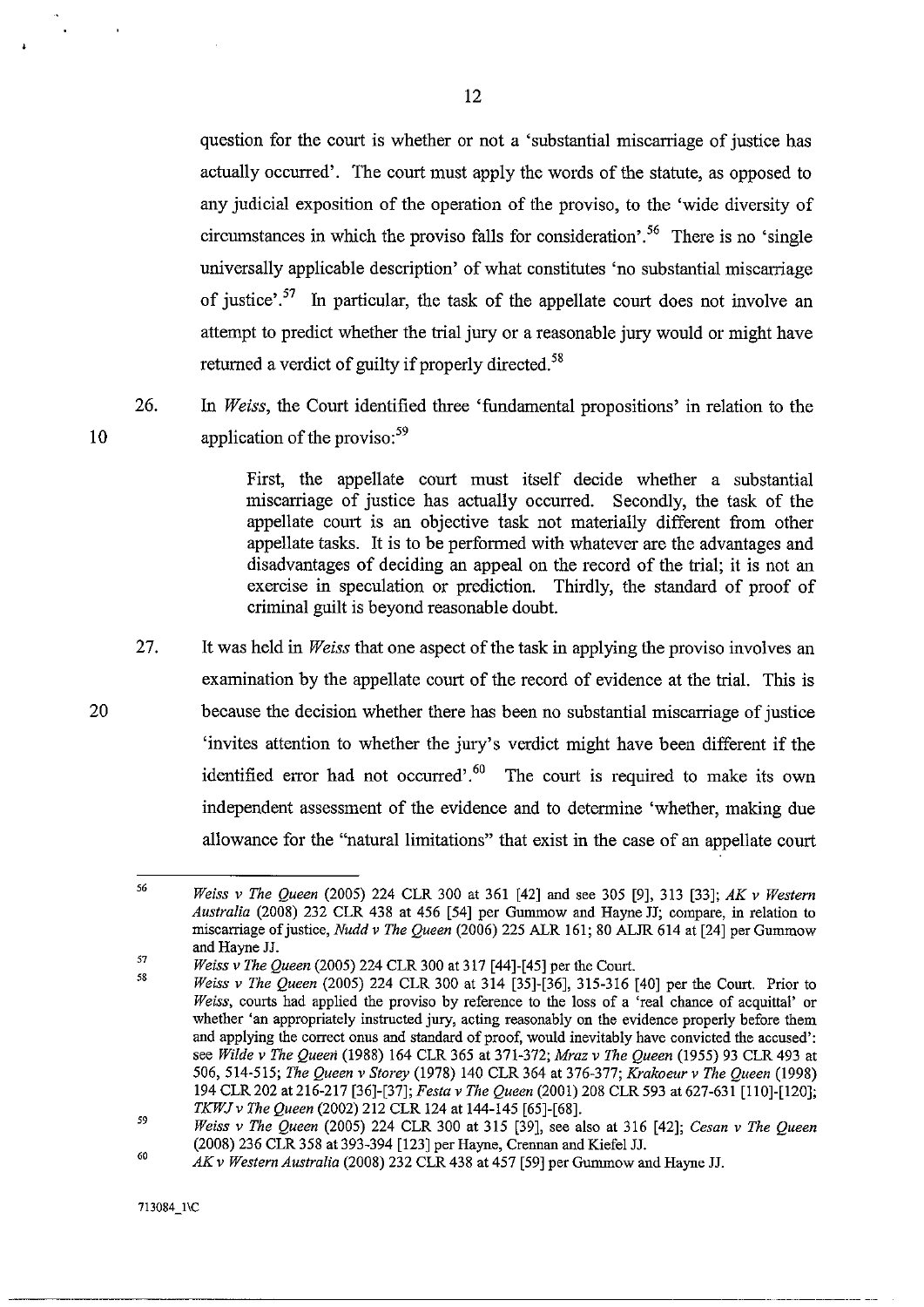question for the court is whether or not a 'substantial miscarriage of justice has actually occurred'. The court must apply the words of the statute, as opposed to any judicial exposition of the operation of the proviso, to the 'wide diversity of circumstances in which the proviso falls for consideration<sup> $56$ </sup>. There is no 'single universally applicable description' of what constitutes 'no substantial miscarriage of justice<sup> $\frac{57}{10}$ </sup> In particular, the task of the appellate court does not involve an attempt to predict whether the trial jury or a reasonable jury would or might have returned a verdict of guilty if properly directed.<sup>58</sup>

26. In *Weiss,* the Court identified three 'fundamental propositions' in relation to the application of the proviso: $59$ 

> First, the appellate conrt must itself decide whether a substantial miscarriage of justice has actually occurred. Secondly, the task of the appellate court is an objective task not materially different from other appellate tasks. It is to be performed with whatever are the advantages and disadvantages of deciding an appeal on the record of the trial; it is not an exercise in speculation or prediction. Thirdly, the standard of proof of criminal guilt is beyond reasonable doubt.

27. It was held in *Weiss* that one aspect of the task in applying the proviso involves an examination by the appellate court of the record of evidence at the trial. This is because the decision whether there has been no substantial miscarriage of justice 'invites attention to whether the jury's verdict might have been different if the identified error had not occurred'.<sup>60</sup> The court is required to make its own independent assessment of the evidence and to determine 'whether, making due allowance for the "natural limitations" that exist in the case of an appellate court

10

<sup>56</sup>  *Weiss* v *The Queen* (2005) 224 CLR 300 at 361 [42] and see 305 [9],313 [33]; *AK v Western Australia* (2008) 232 CLR 438 at 456 [54] per Gummow and Hayne JJ; compare, in relation to miscarriage of justice, *Nudd v The Queen* (2006) 225 ALR 161; 80 ALJR 614 at [24] per Gummow and Hayne JJ.

<sup>57</sup>  58 *Weiss* v *The Queen* (2005) 224 CLR 300 at 317 [44]-[45] per the Court.

*Weiss v The Queen* (2005) 224 CLR 300 at 314 [35]-[36], 315-316 [40] per the Court. Prior to *Weiss,* courts had applied the proviso by reference to the loss of a 'real chance of acquittal' or whether 'an appropriately instructed jury, acting reasonably on the evidence properly before them and applying the correct onus and standard of proof, would inevitably have convicted the accused': see *Wilde v The Queen* (1988) 164 CLR 365 at 371-372; *Mraz v The Queen* (1955) 93 CLR 493 at *506,514-515; The Queen* v *Storey* (1978) 140 CLR 364 at 376-377; *Krakoeur v The Queen (1998)*  194 CLR 202 at 216-217 [36]-[37]; *Festa v The Queen* (2001) 208 CLR 593 at 627-631 [110]-[120]; *TKWJv The Queen* (2002) 212 CLR 124 at 144-145 [65]-[68].

<sup>59</sup>  *Weiss v The Queen* (2005) 224 CLR 300 at 315 [39], see also at 316 [42]; *Cesan v The Queen*  (2008) 236 CLR 358 at 393-394 [123] per Hayne, Crennan and Kiefel JJ.

<sup>60</sup>  *AK v Western Australia* (2008) 232 CLR 438 at 457 [59] per Gummow and Hayne JJ.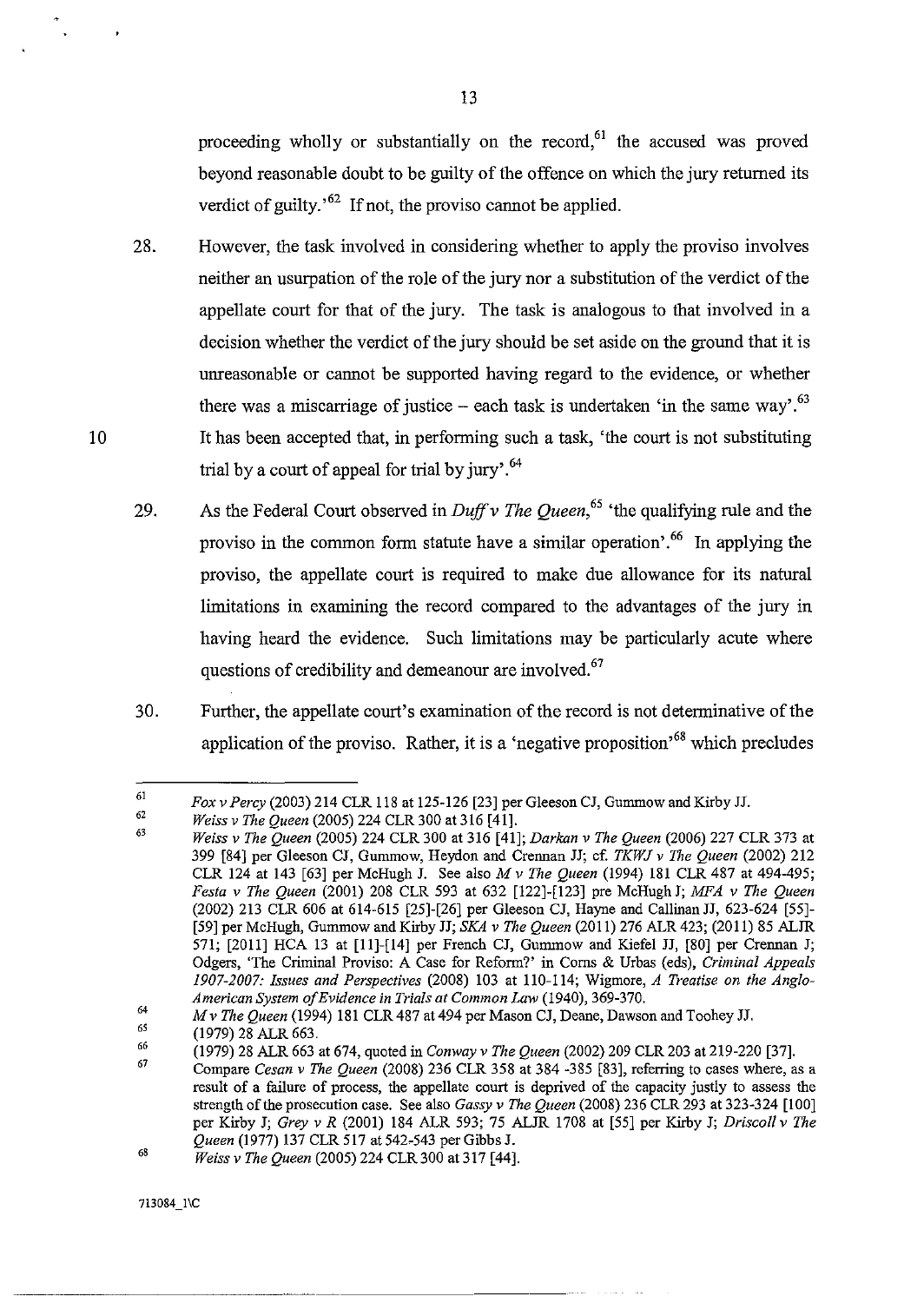proceeding wholly or substantially on the record,<sup>61</sup> the accused was proved beyond reasonable doubt to be guilty of the offence on which the jury returned its verdict of guilty.<sup> $62$ </sup> If not, the proviso cannot be applied.

- 28. However, the task involved in considering whether to apply the proviso involves neither an usurpation of the role of the jury nor a substitution of the verdict of the appellate court for that of the jury. The task is analogous to that involved in a decision whether the verdict of the jury should be set aside on the ground that it is unreasonable or cannot be supported having regard to the evidence, or whether there was a miscarriage of justice – each task is undertaken 'in the same way'.<sup>63</sup> It has been accepted that, in performing such a task, 'the court is not substituting trial by a court of appeal for trial by jury'. $64$
- 29. As the Federal Court observed in *Duff v The Queen*, <sup>65</sup> the qualifying rule and the proviso in the common form statute have a similar operation'.<sup>66</sup> In applying the proviso, the appellate court is required to make due allowance for its natural limitations in examining the record compared to the advantages of the jury in having heard the evidence. Such limitations may be particularly acute where questions of credibility and demeanour are involved.<sup>67</sup>
- 30. Further, the appellate court's examination of the record is not determinative of the application of the proviso. Rather, it is a 'negative proposition<sup> $68$ </sup> which precludes

<sup>61</sup>  *Fox* v *Percy* (2003) 214 CLR 118 at 125-126 [23] per Gleeson CJ, Gummow and Kirby JJ.

<sup>62</sup>  *Weiss* v *The Queen* (2005) 224 CLR 300 at 316 [41].

<sup>63</sup>  *Weiss* v *The Queen* (2005) 224 CLR 300 at 316 [41]; *Darkan* v *The Queen* (2006) 227 CLR 373 at 399 [84] per Gleeson CJ, Gummow, Heydon and Crennan JJ; cf. *TKWJ v The Queen* (2002) 212 CLR 124 at 143 [63] per McHugh J. See also *M v The Queen* (1994) 181 CLR 487 at 494-495; *Festa* v *The Queen* (2001) 208 CLR 593 at 632 [122]-[123] pre McHugh J; *MFA* v *The Queen*  (2002) 213 CLR 606 at 614-615 [25]-[26] per Gleeson CJ, Hayne and Callinan JJ, 623-624 [55]- [59] per McHugh, Gummow and Kirby JJ; *SEA* v *The Queen* (2011) 276 ALR 423; (2011) 85 ALJR 571; [2011] HCA 13 at [11]-[14] per French CJ, Gummow and Kiefel JJ, [80] per Crennan J; Odgers, 'The Criminal Proviso: A Case for Reform?' in Corns & Urbas (eds), *Criminal Appeals 1907-2007: Issues and Perspectives* (2008) 103 at 110-114; Wigmore, *A Treatise on the Anglo-American System o/Evidence in Trials at Common Law* (1940), 369-370.

<sup>64</sup>  *Mv The Queen* (1994) 181 CLR487 at 494 per Mason CJ, Deane, Dawson and Toohey JJ.

<sup>6&#</sup>x27; (1979) 28 ALR 663.

<sup>66</sup>  (1979) 28 ALR 663 at 674, quoted in *Conway* v *The Queen* (2002) 209 CLR 203 at 219-220 [37].

<sup>67</sup>  Compare *Cesan v The Queen* (2008) 236 CLR 358 at 384 -385 [83], referring to cases where, as a result of a failnre of process, the appellate conrt is deprived of the capacity justly to assess the strength of the prosecution case. See also *Gassy* v *The Queen* (2008) 236 CLR 293 at 323-324 [100] per Kirby J; *Grey* v *R* (2001) 184 ALR 593; 75 ALJR 1708 at [55] per Kirby J; *Driscoll* v *The Queen* (1977) 137 CLR 517 at 542-543 per Gibbs J.

<sup>68</sup>  *Weiss* v *The Queen* (2005) 224 CLR300 at 317 [44].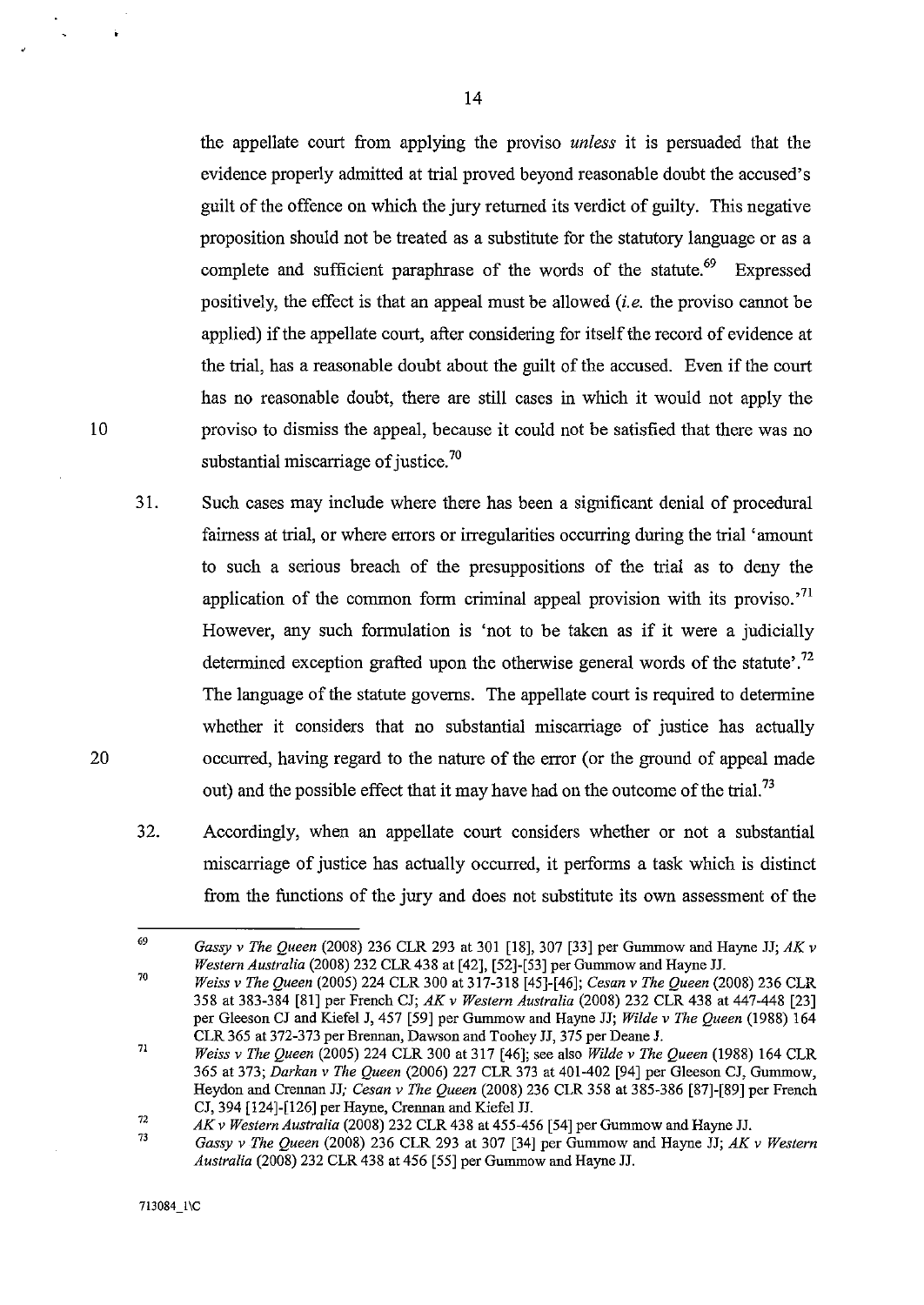the appellate court from applying the proviso *unless* it is persuaded that the evidence properly admitted at trial proved beyond reasonable doubt the accused's guilt of the offence on which the jury returned its verdict of guilty. This negative proposition should not be treated as a substitute for the statutory language or as a complete and sufficient paraphrase of the words of the statute.<sup>69</sup> Expressed positively, the effect is that an appeal must be allowed *(i. e.* the proviso cannot be applied) if the appellate court, after considering for itself the record of evidence at the trial, has a reasonable doubt about the guilt of the accused. Even if the court has no reasonable doubt, there are still cases in which it would not apply the proviso to dismiss the appeal, because it could not be satisfied that there was no substantial miscarriage of justice.<sup>70</sup>

- 31. Such cases may include where there has been a siguificant denial of procedural fairness at trial, or where errors or irregularities occurring during the trial 'amount to such a serious breach of the presuppositions of the trial as to deny the application of the common form criminal appeal provision with its proviso.<sup>71</sup> However, any such formulation is 'not to be taken as if it were a judicially determined exception grafted upon the otherwise general words of the statute'.<sup>72</sup> The language of the statute governs. The appellate court is required to determine whether it considers that no substantial miscarriage of justice has actually occurred, having regard to the nature of the error (or the ground of appeal made out) and the possible effect that it may have had on the outcome of the trial.<sup>73</sup>
- 32. Accordingly, when an appellate court considers whether or not a substantial miscarriage of justice has actually occurred, it performs a task which is distinct from the functions of the jury and does not substitute its own assessment of the

14

20

<sup>69</sup>  70 *Gassy* v *The Queen* (2008) 236 CLR 293 at 301 [18], 307 [33] per Gummow and Hayne JJ; *AK* v *Western Australia* (2008) 232 CLR 438 at [42], [52]-[53] per Gummow and Hayne JJ.

*Weiss* v *The Queen* (2005) 224 CLR 300 at 317-318 [45]-[46]; *Cesan* v *The Queen* (2008) 236 CLR 358 at 383-384 [81] per French CJ; *AK* v *Western Australia* (2008) 232 CLR 438 at 447-448 [23] per Gleeson CJ and Kiefe1 J, 457 [59] per Gummow and Hayne JJ; *Wilde* v *The Queen* (1988) 164 CLR 365 at 372-373 per Brennan, Dawson and Toohey JJ, 375 per Deane J.

<sup>71</sup>  *Weiss* v *The Queen* (2005) 224 CLR 300 at 317 [46]; see also *Wilde* v *The Queen* (1988) 164 CLR 365 at 373; *Darkan* v *The Queen* (2006) 227 CLR 373 at 401-402 [94] per Gleeson CJ, Gummow, Heydon and Crennan JJ; *Cesan* v *The Queen* (2008) 236 CLR 358 at 385-386 [87]-[89] per French CJ, 394 [124]-[126] per Hayne, Crennan and Kiefe1 JJ.

<sup>72</sup>  *AK* v *Western Australia* (2008) 232 CLR 438 at 455-456 [54] per Gummow and Hayne JJ.

<sup>73</sup>  *Gassy* v *The Queen* (2008) 236 CLR 293 at 307 [34] per Gummow and Hayne JJ; *AK* v *Western Australia* (2008) 232 CLR 438 at 456 [55] per Gummow and Hayne JJ.